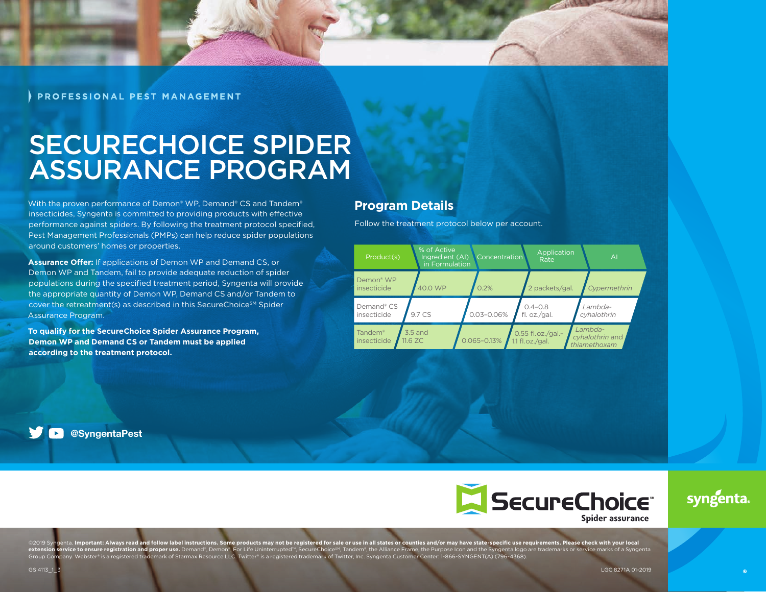PROFESSIONAL PEST MANAGEMENT

# SECURECHOICE SPIDER ASSURANCE PROGRAM

With the proven performance of Demon® WP, Demand® CS and Tandem® insecticides, Syngenta is committed to providing products with effective performance against spiders. By following the treatment protocol specified, Pest Management Professionals (PMPs) can help reduce spider populations around customers' homes or properties.

**Assurance Offer:** If applications of Demon WP and Demand CS, or Demon WP and Tandem, fail to provide adequate reduction of spider populations during the specified treatment period, Syngenta will provide the appropriate quantity of Demon WP, Demand CS and/or Tandem to cover the retreatment(s) as described in this SecureChoice<sup>SM</sup> Spider Assurance Program.

**To qualify for the SecureChoice Spider Assurance Program, Demon WP and Demand CS or Tandem must be applied according to the treatment protocol.**

#### **Program Details**

Follow the treatment protocol below per account.



@SyngentaPest



©2019 Syngenta. I**mportant: Always read and follow label instructions. Some products may not be registered for sale or use in all states or counties and/or may have state-specific use requirements. Please check with your l** 

syngenta